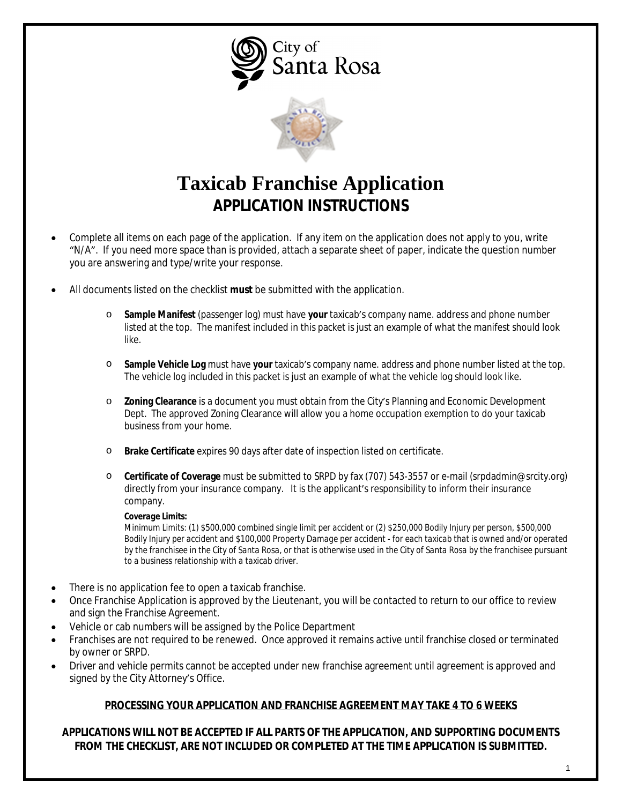City of Santa Rosa



# **Taxicab Franchise Application APPLICATION INSTRUCTIONS**

- Complete all items on each page of the application. If any item on the application does not apply to you, write "N/A". If you need more space than is provided, attach a separate sheet of paper, indicate the question number you are answering and type/write your response.
- All documents listed on the checklist **must** be submitted with the application.
	- o **Sample Manifest** (passenger log) must have **your** taxicab's company name. address and phone number listed at the top. The manifest included in this packet is just an example of what the manifest should look like.
	- o **Sample Vehicle Log** must have **your** taxicab's company name. address and phone number listed at the top. The vehicle log included in this packet is just an example of what the vehicle log should look like.
	- o **Zoning Clearance** is a document you must obtain from the City's Planning and Economic Development Dept. The approved Zoning Clearance will allow you a home occupation exemption to do your taxicab business from your home.
	- o **Brake Certificate** expires 90 days after date of inspection listed on certificate.
	- o **Certificate of Coverage** must be submitted to SRPD by fax (707) 543-3557 or e-mail ([srpdadmin@srcity.org\)](mailto:srpdadmin@srcity.org) directly from your insurance company. It is the applicant's responsibility to inform their insurance company.

#### *Coverage Limits:*

*Minimum Limits: (1) \$500,000 combined single limit per accident or (2) \$250,000 Bodily Injury per person, \$500,000 Bodily Injury per accident and \$100,000 Property Damage per accident - for each taxicab that is owned and/or operated by the franchisee in the City of Santa Rosa, or that is otherwise used in the City of Santa Rosa by the franchisee pursuant to a business relationship with a taxicab driver.*

- There is no application fee to open a taxicab franchise.
- Once Franchise Application is approved by the Lieutenant, you will be contacted to return to our office to review and sign the Franchise Agreement.
- Vehicle or cab numbers will be assigned by the Police Department
- Franchises are not required to be renewed. Once approved it remains active until franchise closed or terminated by owner or SRPD.
- Driver and vehicle permits cannot be accepted under new franchise agreement until agreement is approved and signed by the City Attorney's Office.

### **PROCESSING YOUR APPLICATION AND FRANCHISE AGREEMENT MAY TAKE 4 TO 6 WEEKS**

**APPLICATIONS WILL NOT BE ACCEPTED IF ALL PARTS OF THE APPLICATION, AND SUPPORTING DOCUMENTS FROM THE CHECKLIST, ARE NOT INCLUDED OR COMPLETED AT THE TIME APPLICATION IS SUBMITTED.**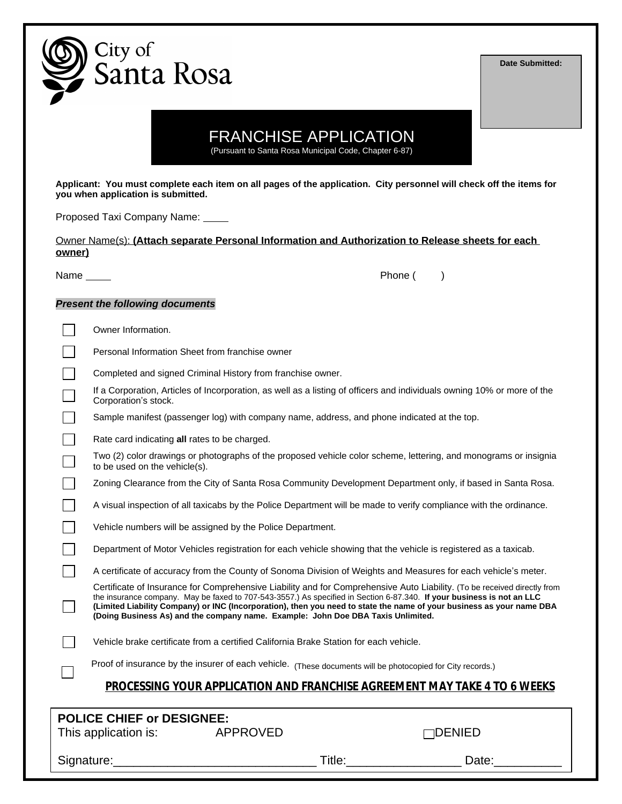

**Date Submitted:**

### FRANCHISE APPLICATION

(Pursuant to Santa Rosa Municipal Code, Chapter 6-87)

**Applicant: You must complete each item on all pages of the application. City personnel will check off the items for you when application is submitted.**

Proposed Taxi Company Name:

Owner Name(s): **(Attach separate Personal Information and Authorization to Release sheets for each owner)**

Name Phone ( )

#### *Present the following documents*

| Owner Information.                                                                                                                                                                                                                                                                                                                  |  |  |                                                                                                                          |  |  |
|-------------------------------------------------------------------------------------------------------------------------------------------------------------------------------------------------------------------------------------------------------------------------------------------------------------------------------------|--|--|--------------------------------------------------------------------------------------------------------------------------|--|--|
| Personal Information Sheet from franchise owner                                                                                                                                                                                                                                                                                     |  |  |                                                                                                                          |  |  |
| Completed and signed Criminal History from franchise owner.                                                                                                                                                                                                                                                                         |  |  |                                                                                                                          |  |  |
| If a Corporation, Articles of Incorporation, as well as a listing of officers and individuals owning 10% or more of the<br>Corporation's stock.                                                                                                                                                                                     |  |  |                                                                                                                          |  |  |
| Sample manifest (passenger log) with company name, address, and phone indicated at the top.                                                                                                                                                                                                                                         |  |  |                                                                                                                          |  |  |
| Rate card indicating all rates to be charged.                                                                                                                                                                                                                                                                                       |  |  |                                                                                                                          |  |  |
| Two (2) color drawings or photographs of the proposed vehicle color scheme, lettering, and monograms or insignia<br>to be used on the vehicle(s).                                                                                                                                                                                   |  |  |                                                                                                                          |  |  |
| Zoning Clearance from the City of Santa Rosa Community Development Department only, if based in Santa Rosa.                                                                                                                                                                                                                         |  |  |                                                                                                                          |  |  |
| A visual inspection of all taxicabs by the Police Department will be made to verify compliance with the ordinance.                                                                                                                                                                                                                  |  |  |                                                                                                                          |  |  |
| Vehicle numbers will be assigned by the Police Department.                                                                                                                                                                                                                                                                          |  |  |                                                                                                                          |  |  |
| Department of Motor Vehicles registration for each vehicle showing that the vehicle is registered as a taxicab.                                                                                                                                                                                                                     |  |  |                                                                                                                          |  |  |
| A certificate of accuracy from the County of Sonoma Division of Weights and Measures for each vehicle's meter.                                                                                                                                                                                                                      |  |  |                                                                                                                          |  |  |
| the insurance company. May be faxed to 707-543-3557.) As specified in Section 6-87.340. If your business is not an LLC<br>(Limited Liability Company) or INC (Incorporation), then you need to state the name of your business as your name DBA<br>(Doing Business As) and the company name. Example: John Doe DBA Taxis Unlimited. |  |  | Certificate of Insurance for Comprehensive Liability and for Comprehensive Auto Liability. (To be received directly from |  |  |
| Vehicle brake certificate from a certified California Brake Station for each vehicle.                                                                                                                                                                                                                                               |  |  |                                                                                                                          |  |  |
| Proof of insurance by the insurer of each vehicle. (These documents will be photocopied for City records.)                                                                                                                                                                                                                          |  |  |                                                                                                                          |  |  |
|                                                                                                                                                                                                                                                                                                                                     |  |  | PROCESSING YOUR APPLICATION AND FRANCHISE AGREEMENT MAY TAKE 4 TO 6 WEEKS                                                |  |  |
|                                                                                                                                                                                                                                                                                                                                     |  |  |                                                                                                                          |  |  |
| <b>POLICE CHIEF or DESIGNEE:</b><br>This application is:<br><b>APPROVED</b><br>1DENIED                                                                                                                                                                                                                                              |  |  |                                                                                                                          |  |  |

Signature:\_\_\_\_\_\_\_\_\_\_\_\_\_\_\_\_\_\_\_\_\_\_\_\_\_\_\_\_\_\_ Title:\_\_\_\_\_\_\_\_\_\_\_\_\_\_\_\_\_ Date:\_\_\_\_\_\_\_\_\_\_

2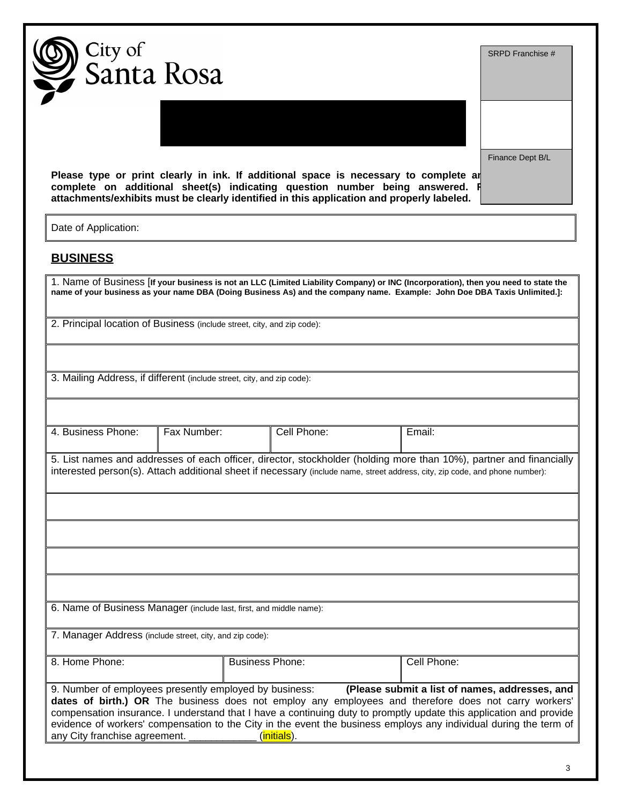|                      | City of<br>, Santa Rosa                                                                                                                                                                                                                                          |             |             | SRPD Franchise # |
|----------------------|------------------------------------------------------------------------------------------------------------------------------------------------------------------------------------------------------------------------------------------------------------------|-------------|-------------|------------------|
|                      |                                                                                                                                                                                                                                                                  |             |             |                  |
|                      | Please type or print clearly in ink. If additional space is necessary to complete are<br>complete on additional sheet(s) indicating question number being answered.<br>attachments/exhibits must be clearly identified in this application and properly labeled. |             |             | Finance Dept B/L |
| Date of Application: |                                                                                                                                                                                                                                                                  |             |             |                  |
| <b>BUSINESS</b>      |                                                                                                                                                                                                                                                                  |             |             |                  |
|                      | 1. Name of Business [If your business is not an LLC (Limited Liability Company) or INC (Incorporation), then you need to state the<br>name of your business as your name DBA (Doing Business As) and the company name. Example: John Doe DBA Taxis Unlimited.]:  |             |             |                  |
|                      | 2. Principal location of Business (include street, city, and zip code):                                                                                                                                                                                          |             |             |                  |
|                      |                                                                                                                                                                                                                                                                  |             |             |                  |
|                      | 3. Mailing Address, if different (include street, city, and zip code):                                                                                                                                                                                           |             |             |                  |
|                      |                                                                                                                                                                                                                                                                  |             |             |                  |
| 4. Business Phone:   | Fax Number:                                                                                                                                                                                                                                                      | Cell Phone: | Email:      |                  |
|                      |                                                                                                                                                                                                                                                                  |             |             |                  |
|                      | 5. List names and addresses of each officer, director, stockholder (holding more than 10%), partner and financially<br>interested person(s). Attach additional sheet if necessary (include name, street address, city, zip code, and phone number):              |             |             |                  |
|                      |                                                                                                                                                                                                                                                                  |             |             |                  |
|                      |                                                                                                                                                                                                                                                                  |             |             |                  |
|                      |                                                                                                                                                                                                                                                                  |             |             |                  |
|                      |                                                                                                                                                                                                                                                                  |             |             |                  |
|                      |                                                                                                                                                                                                                                                                  |             |             |                  |
|                      | 6. Name of Business Manager (include last, first, and middle name):                                                                                                                                                                                              |             |             |                  |
|                      | 7. Manager Address (include street, city, and zip code):                                                                                                                                                                                                         |             |             |                  |
| 8. Home Phone:       | <b>Business Phone:</b>                                                                                                                                                                                                                                           |             | Cell Phone: |                  |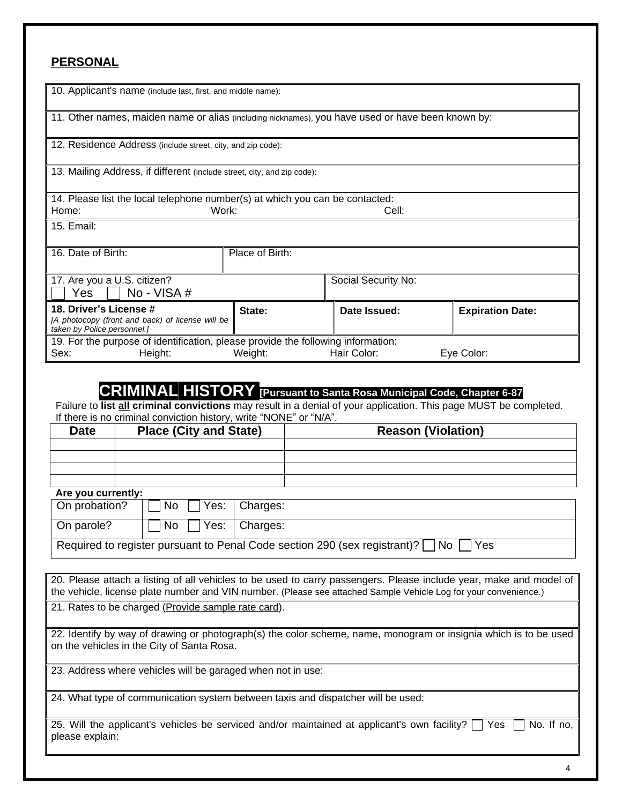### **PERSONAL**

| 10. Applicant's name (include last, first, and middle name):                     |                                                                                                   |                     |                         |  |  |  |  |  |  |
|----------------------------------------------------------------------------------|---------------------------------------------------------------------------------------------------|---------------------|-------------------------|--|--|--|--|--|--|
|                                                                                  |                                                                                                   |                     |                         |  |  |  |  |  |  |
|                                                                                  | 11. Other names, maiden name or alias (including nicknames), you have used or have been known by: |                     |                         |  |  |  |  |  |  |
|                                                                                  |                                                                                                   |                     |                         |  |  |  |  |  |  |
| 12. Residence Address (include street, city, and zip code):                      |                                                                                                   |                     |                         |  |  |  |  |  |  |
|                                                                                  |                                                                                                   |                     |                         |  |  |  |  |  |  |
| 13. Mailing Address, if different (include street, city, and zip code):          |                                                                                                   |                     |                         |  |  |  |  |  |  |
|                                                                                  |                                                                                                   |                     |                         |  |  |  |  |  |  |
| 14. Please list the local telephone number(s) at which you can be contacted:     |                                                                                                   |                     |                         |  |  |  |  |  |  |
| Home:                                                                            | Work:                                                                                             | Cell:               |                         |  |  |  |  |  |  |
| 15. Email:                                                                       |                                                                                                   |                     |                         |  |  |  |  |  |  |
|                                                                                  |                                                                                                   |                     |                         |  |  |  |  |  |  |
| 16. Date of Birth:                                                               | Place of Birth:                                                                                   |                     |                         |  |  |  |  |  |  |
|                                                                                  |                                                                                                   |                     |                         |  |  |  |  |  |  |
| 17. Are you a U.S. citizen?                                                      |                                                                                                   | Social Security No: |                         |  |  |  |  |  |  |
| No - VISA #<br>Yes                                                               |                                                                                                   |                     |                         |  |  |  |  |  |  |
|                                                                                  |                                                                                                   |                     |                         |  |  |  |  |  |  |
| 18. Driver's License #                                                           | State:                                                                                            | Date Issued:        | <b>Expiration Date:</b> |  |  |  |  |  |  |
| taken by Police personnel.)                                                      | [A photocopy (front and back) of license will be                                                  |                     |                         |  |  |  |  |  |  |
| 19. For the purpose of identification, please provide the following information: |                                                                                                   |                     |                         |  |  |  |  |  |  |
| Height:<br>Sex:                                                                  | Weight:                                                                                           | Hair Color:         | Eye Color:              |  |  |  |  |  |  |

### **CRIMINAL HISTORY [Pursuant to Santa Rosa Municipal Code, Chapter 6-87**

Failure to **list all criminal convictions** may result in a denial of your application. This page MUST be completed. If there is no criminal conviction history, write "NONE" or "N/A".

| <b>Date</b> | <b>Place (City and State)</b> | <b>Reason (Violation)</b> |  |  |
|-------------|-------------------------------|---------------------------|--|--|
|             |                               |                           |  |  |
|             |                               |                           |  |  |
|             |                               |                           |  |  |
|             |                               |                           |  |  |

#### **Are you currently:**

| On probation?                                                                                       | $\Box$ No $\Box$ Yes:   Charges:      |  |  |  |  |  |
|-----------------------------------------------------------------------------------------------------|---------------------------------------|--|--|--|--|--|
| On parole?                                                                                          | $\Box$ No $\Box$ Yes: $\Box$ Charges: |  |  |  |  |  |
| Required to register pursuant to Penal Code section 290 (sex registrant)? $\Box$ No $\Box$<br>l Yes |                                       |  |  |  |  |  |

| 20. Please attach a listing of all vehicles to be used to carry passengers. Please include year, make and model of<br>the vehicle, license plate number and VIN number. (Please see attached Sample Vehicle Log for your convenience.) |
|----------------------------------------------------------------------------------------------------------------------------------------------------------------------------------------------------------------------------------------|
| 21. Rates to be charged ( <i>Provide sample rate card</i> ).                                                                                                                                                                           |
| 22. Identify by way of drawing or photograph(s) the color scheme, name, monogram or insignia which is to be used<br>on the vehicles in the City of Santa Rosa.                                                                         |
| 23. Address where vehicles will be garaged when not in use:                                                                                                                                                                            |
| 24. What type of communication system between taxis and dispatcher will be used:                                                                                                                                                       |
| 25. Will the applicant's vehicles be serviced and/or maintained at applicant's own facility?     Yes  <br>No. If no.<br>please explain:                                                                                                |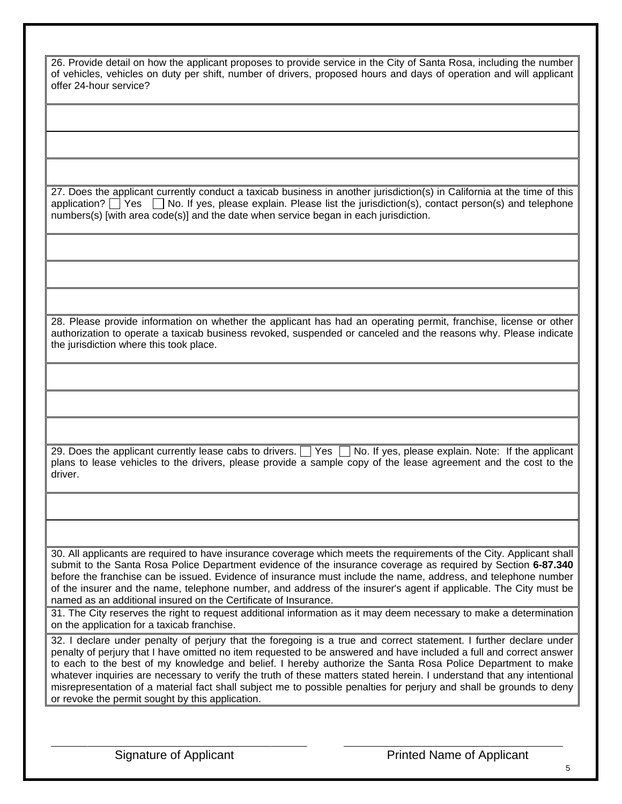| 26. Provide detail on how the applicant proposes to provide service in the City of Santa Rosa, including the number<br>of vehicles, vehicles on duty per shift, number of drivers, proposed hours and days of operation and will applicant<br>offer 24-hour service?                                                                                                                                                                                                                                                                                                                                                                                           |
|----------------------------------------------------------------------------------------------------------------------------------------------------------------------------------------------------------------------------------------------------------------------------------------------------------------------------------------------------------------------------------------------------------------------------------------------------------------------------------------------------------------------------------------------------------------------------------------------------------------------------------------------------------------|
|                                                                                                                                                                                                                                                                                                                                                                                                                                                                                                                                                                                                                                                                |
|                                                                                                                                                                                                                                                                                                                                                                                                                                                                                                                                                                                                                                                                |
|                                                                                                                                                                                                                                                                                                                                                                                                                                                                                                                                                                                                                                                                |
| 27. Does the applicant currently conduct a taxicab business in another jurisdiction(s) in California at the time of this<br>application? $\Box$ Yes $\Box$ No. If yes, please explain. Please list the jurisdiction(s), contact person(s) and telephone<br>numbers(s) [with area code(s)] and the date when service began in each jurisdiction.                                                                                                                                                                                                                                                                                                                |
|                                                                                                                                                                                                                                                                                                                                                                                                                                                                                                                                                                                                                                                                |
|                                                                                                                                                                                                                                                                                                                                                                                                                                                                                                                                                                                                                                                                |
|                                                                                                                                                                                                                                                                                                                                                                                                                                                                                                                                                                                                                                                                |
| 28. Please provide information on whether the applicant has had an operating permit, franchise, license or other<br>authorization to operate a taxicab business revoked, suspended or canceled and the reasons why. Please indicate<br>the jurisdiction where this took place.                                                                                                                                                                                                                                                                                                                                                                                 |
|                                                                                                                                                                                                                                                                                                                                                                                                                                                                                                                                                                                                                                                                |
|                                                                                                                                                                                                                                                                                                                                                                                                                                                                                                                                                                                                                                                                |
|                                                                                                                                                                                                                                                                                                                                                                                                                                                                                                                                                                                                                                                                |
| 29. Does the applicant currently lease cabs to drivers. The Yes Tho. If yes, please explain. Note: If the applicant<br>plans to lease vehicles to the drivers, please provide a sample copy of the lease agreement and the cost to the<br>driver.                                                                                                                                                                                                                                                                                                                                                                                                              |
|                                                                                                                                                                                                                                                                                                                                                                                                                                                                                                                                                                                                                                                                |
|                                                                                                                                                                                                                                                                                                                                                                                                                                                                                                                                                                                                                                                                |
| 30. All applicants are required to have insurance coverage which meets the requirements of the City. Applicant shall<br>submit to the Santa Rosa Police Department evidence of the insurance coverage as required by Section 6-87.340<br>before the franchise can be issued. Evidence of insurance must include the name, address, and telephone number<br>of the insurer and the name, telephone number, and address of the insurer's agent if applicable. The City must be<br>named as an additional insured on the Certificate of Insurance.                                                                                                                |
| 31. The City reserves the right to request additional information as it may deem necessary to make a determination<br>on the application for a taxicab franchise.                                                                                                                                                                                                                                                                                                                                                                                                                                                                                              |
| 32. I declare under penalty of perjury that the foregoing is a true and correct statement. I further declare under<br>penalty of perjury that I have omitted no item requested to be answered and have included a full and correct answer<br>to each to the best of my knowledge and belief. I hereby authorize the Santa Rosa Police Department to make<br>whatever inquiries are necessary to verify the truth of these matters stated herein. I understand that any intentional<br>misrepresentation of a material fact shall subject me to possible penalties for perjury and shall be grounds to deny<br>or revoke the permit sought by this application. |
|                                                                                                                                                                                                                                                                                                                                                                                                                                                                                                                                                                                                                                                                |

 $\overline{a}$ 

Signature of Applicant Printed Name of Applicant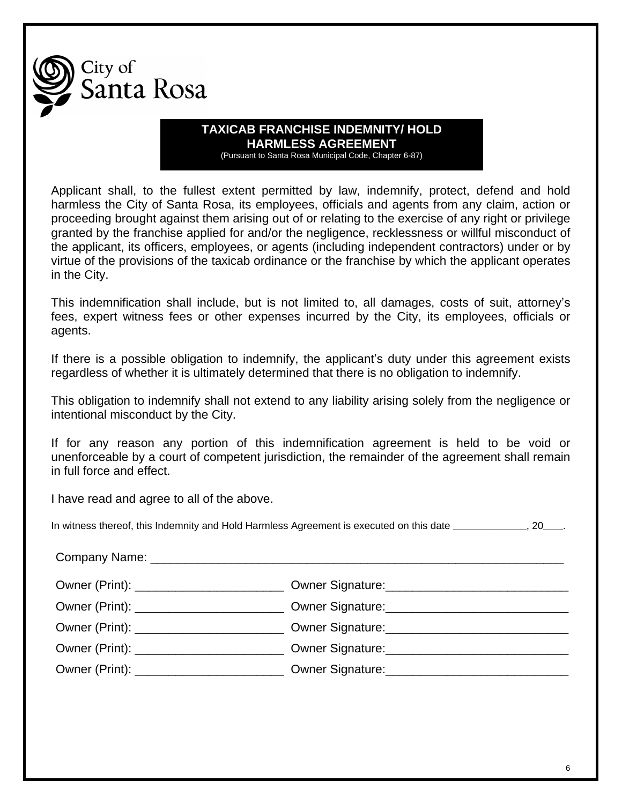

#### **TAXICAB FRANCHISE INDEMNITY/ HOLD HARMLESS AGREEMENT** (Pursuant to Santa Rosa Municipal Code, Chapter 6-87)

Applicant shall, to the fullest extent permitted by law, indemnify, protect, defend and hold harmless the City of Santa Rosa, its employees, officials and agents from any claim, action or proceeding brought against them arising out of or relating to the exercise of any right or privilege granted by the franchise applied for and/or the negligence, recklessness or willful misconduct of the applicant, its officers, employees, or agents (including independent contractors) under or by virtue of the provisions of the taxicab ordinance or the franchise by which the applicant operates in the City.

This indemnification shall include, but is not limited to, all damages, costs of suit, attorney's fees, expert witness fees or other expenses incurred by the City, its employees, officials or agents.

If there is a possible obligation to indemnify, the applicant's duty under this agreement exists regardless of whether it is ultimately determined that there is no obligation to indemnify.

This obligation to indemnify shall not extend to any liability arising solely from the negligence or intentional misconduct by the City.

If for any reason any portion of this indemnification agreement is held to be void or unenforceable by a court of competent jurisdiction, the remainder of the agreement shall remain in full force and effect.

I have read and agree to all of the above.

In witness thereof, this Indemnity and Hold Harmless Agreement is executed on this date , 20 .

| Owner (Print): _____________________________ |
|----------------------------------------------|
|                                              |
| Owner (Print): ____________________________  |
|                                              |
| Owner (Print): ____________________________  |
|                                              |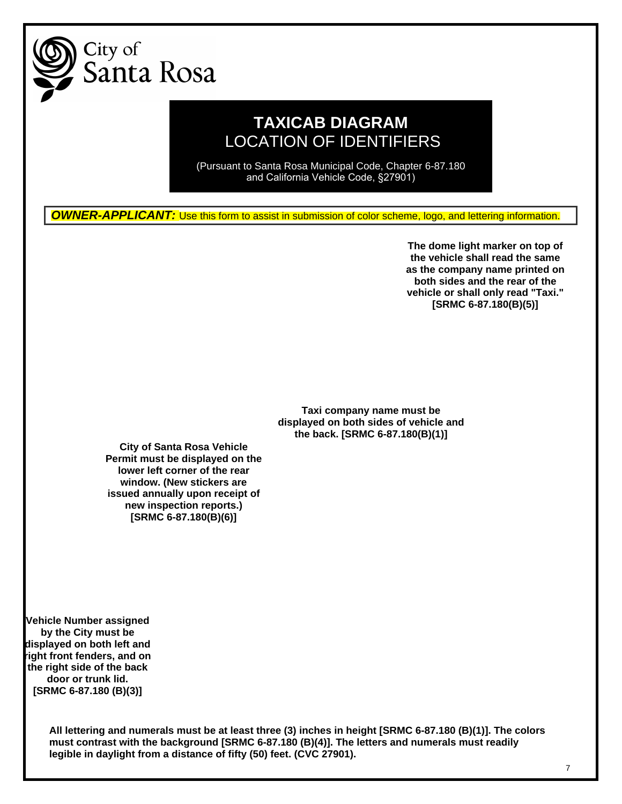

### **TAXICAB DIAGRAM** LOCATION OF IDENTIFIERS

(Pursuant to Santa Rosa Municipal Code, Chapter 6-87.180 and California Vehicle Code, §27901)

**OWNER-APPLICANT:** Use this form to assist in submission of color scheme, logo, and lettering information.

**The dome light marker on top of the vehicle shall read the same as the company name printed on both sides and the rear of the vehicle or shall only read "Taxi." [SRMC 6-87.180(B)(5)]**

**Taxi company name must be displayed on both sides of vehicle and the back. [SRMC 6-87.180(B)(1)]**

**City of Santa Rosa Vehicle Permit must be displayed on the lower left corner of the rear window. (New stickers are issued annually upon receipt of new inspection reports.) [SRMC 6-87.180(B)(6)]**

**Vehicle Number assigned by the City must be displayed on both left and right front fenders, and on the right side of the back door or trunk lid. [SRMC 6-87.180 (B)(3)]**

> **All lettering and numerals must be at least three (3) inches in height [SRMC 6-87.180 (B)(1)]. The colors must contrast with the background [SRMC 6-87.180 (B)(4)]. The letters and numerals must readily legible in daylight from a distance of fifty (50) feet. (CVC 27901).**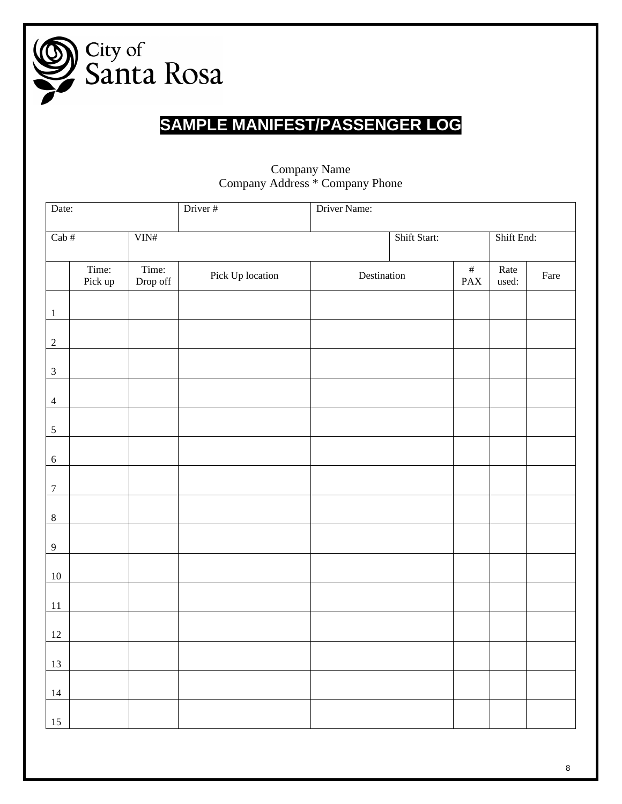

# **SAMPLE MANIFEST/PASSENGER LOG**

| Date:                              |                  |                           | Driver#          | Driver Name: |  |                    |               |      |
|------------------------------------|------------------|---------------------------|------------------|--------------|--|--------------------|---------------|------|
| $\overline{\text{Cab}\,\text{\#}}$ |                  | $\overline{\text{VIN\#}}$ |                  | Shift Start: |  | Shift End:         |               |      |
|                                    | Time:<br>Pick up | Time:<br>Drop off         | Pick Up location | Destination  |  | $\#$<br><b>PAX</b> | Rate<br>used: | Fare |
| $\,1\,$                            |                  |                           |                  |              |  |                    |               |      |
| $\sqrt{2}$                         |                  |                           |                  |              |  |                    |               |      |
| $\ensuremath{\mathfrak{Z}}$        |                  |                           |                  |              |  |                    |               |      |
| $\overline{4}$                     |                  |                           |                  |              |  |                    |               |      |
| $\sqrt{5}$                         |                  |                           |                  |              |  |                    |               |      |
| $\sqrt{6}$                         |                  |                           |                  |              |  |                    |               |      |
| $\boldsymbol{7}$                   |                  |                           |                  |              |  |                    |               |      |
| $\,8\,$                            |                  |                           |                  |              |  |                    |               |      |
| $\overline{9}$                     |                  |                           |                  |              |  |                    |               |      |
| $10\,$                             |                  |                           |                  |              |  |                    |               |      |
| $11\,$                             |                  |                           |                  |              |  |                    |               |      |
| $12\,$                             |                  |                           |                  |              |  |                    |               |      |
| 13                                 |                  |                           |                  |              |  |                    |               |      |
| $14\,$                             |                  |                           |                  |              |  |                    |               |      |
| 15                                 |                  |                           |                  |              |  |                    |               |      |

### Company Name Company Address \* Company Phone